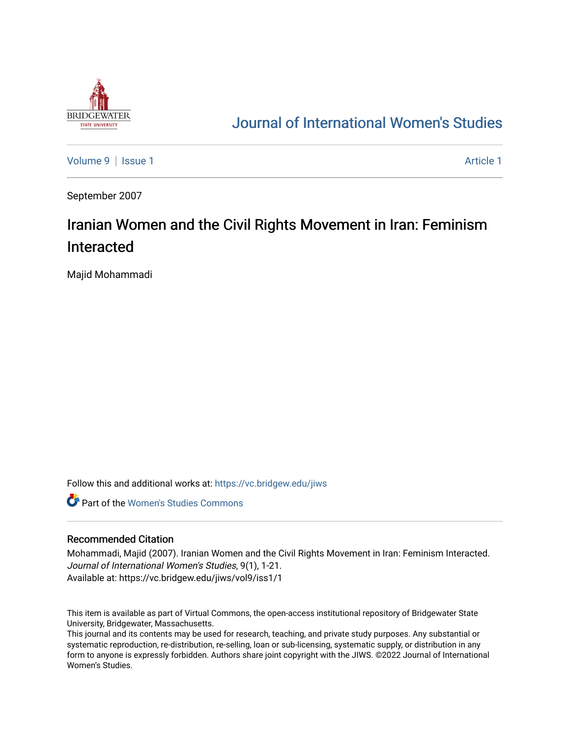

## [Journal of International Women's Studies](https://vc.bridgew.edu/jiws)

[Volume 9](https://vc.bridgew.edu/jiws/vol9) | [Issue 1](https://vc.bridgew.edu/jiws/vol9/iss1) Article 1

September 2007

# Iranian Women and the Civil Rights Movement in Iran: Feminism Interacted

Majid Mohammadi

Follow this and additional works at: [https://vc.bridgew.edu/jiws](https://vc.bridgew.edu/jiws?utm_source=vc.bridgew.edu%2Fjiws%2Fvol9%2Fiss1%2F1&utm_medium=PDF&utm_campaign=PDFCoverPages)

**C** Part of the Women's Studies Commons

#### Recommended Citation

Mohammadi, Majid (2007). Iranian Women and the Civil Rights Movement in Iran: Feminism Interacted. Journal of International Women's Studies, 9(1), 1-21. Available at: https://vc.bridgew.edu/jiws/vol9/iss1/1

This item is available as part of Virtual Commons, the open-access institutional repository of Bridgewater State University, Bridgewater, Massachusetts.

This journal and its contents may be used for research, teaching, and private study purposes. Any substantial or systematic reproduction, re-distribution, re-selling, loan or sub-licensing, systematic supply, or distribution in any form to anyone is expressly forbidden. Authors share joint copyright with the JIWS. ©2022 Journal of International Women's Studies.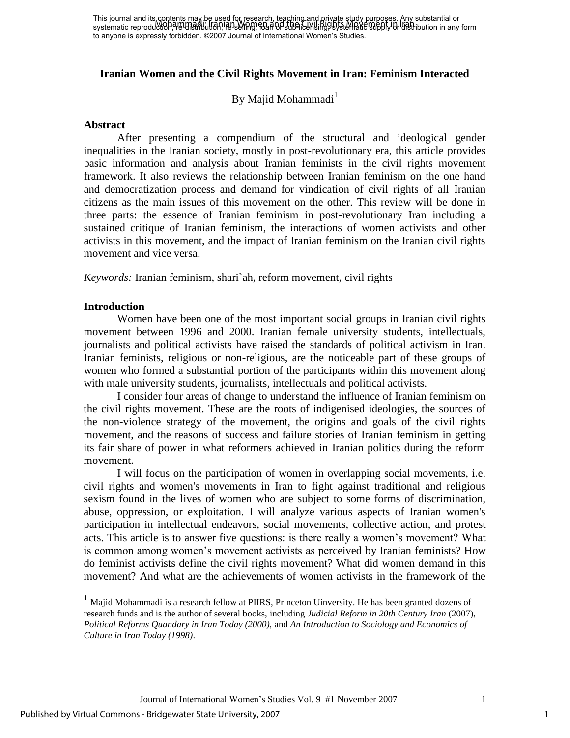## **Iranian Women and the Civil Rights Movement in Iran: Feminism Interacted**

By Majid Mohammadi $<sup>1</sup>$ </sup>

#### **Abstract**

After presenting a compendium of the structural and ideological gender inequalities in the Iranian society, mostly in post-revolutionary era, this article provides basic information and analysis about Iranian feminists in the civil rights movement framework. It also reviews the relationship between Iranian feminism on the one hand and democratization process and demand for vindication of civil rights of all Iranian citizens as the main issues of this movement on the other. This review will be done in three parts: the essence of Iranian feminism in post-revolutionary Iran including a sustained critique of Iranian feminism, the interactions of women activists and other activists in this movement, and the impact of Iranian feminism on the Iranian civil rights movement and vice versa.

*Keywords:* Iranian feminism, shari`ah, reform movement, civil rights

#### **Introduction**

 $\overline{a}$ 

Women have been one of the most important social groups in Iranian civil rights movement between 1996 and 2000. Iranian female university students, intellectuals, journalists and political activists have raised the standards of political activism in Iran. Iranian feminists, religious or non-religious, are the noticeable part of these groups of women who formed a substantial portion of the participants within this movement along with male university students, journalists, intellectuals and political activists.

 I consider four areas of change to understand the influence of Iranian feminism on the civil rights movement. These are the roots of indigenised ideologies, the sources of the non-violence strategy of the movement, the origins and goals of the civil rights movement, and the reasons of success and failure stories of Iranian feminism in getting its fair share of power in what reformers achieved in Iranian politics during the reform movement.

I will focus on the participation of women in overlapping social movements, i.e. civil rights and women's movements in Iran to fight against traditional and religious sexism found in the lives of women who are subject to some forms of discrimination, abuse, oppression, or exploitation. I will analyze various aspects of Iranian women's participation in intellectual endeavors, social movements, collective action, and protest acts. This article is to answer five questions: is there really a women"s movement? What is common among women"s movement activists as perceived by Iranian feminists? How do feminist activists define the civil rights movement? What did women demand in this movement? And what are the achievements of women activists in the framework of the

 $<sup>1</sup>$  Majid Mohammadi is a research fellow at PIIRS, Princeton Uinversity. He has been granted dozens of</sup> research funds and is the author of several books, including *Judicial Reform in 20th Century Iran* (2007), *Political Reforms Quandary in Iran Today (2000),* and *An Introduction to Sociology and Economics of Culture in Iran Today (1998)*.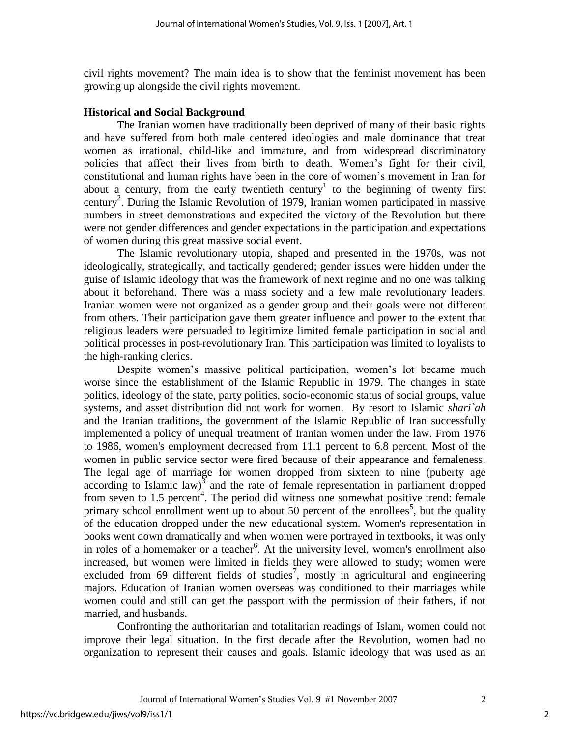civil rights movement? The main idea is to show that the feminist movement has been growing up alongside the civil rights movement.

### **Historical and Social Background**

The Iranian women have traditionally been deprived of many of their basic rights and have suffered from both male centered ideologies and male dominance that treat women as irrational, child-like and immature, and from widespread discriminatory policies that affect their lives from birth to death. Women"s fight for their civil, constitutional and human rights have been in the core of women"s movement in Iran for about a century, from the early twentieth century<sup>1</sup> to the beginning of twenty first century<sup>2</sup>. During the Islamic Revolution of 1979, Iranian women participated in massive numbers in street demonstrations and expedited the victory of the Revolution but there were not gender differences and gender expectations in the participation and expectations of women during this great massive social event.

The Islamic revolutionary utopia, shaped and presented in the 1970s, was not ideologically, strategically, and tactically gendered; gender issues were hidden under the guise of Islamic ideology that was the framework of next regime and no one was talking about it beforehand. There was a mass society and a few male revolutionary leaders. Iranian women were not organized as a gender group and their goals were not different from others. Their participation gave them greater influence and power to the extent that religious leaders were persuaded to legitimize limited female participation in social and political processes in post-revolutionary Iran. This participation was limited to loyalists to the high-ranking clerics.

Despite women's massive political participation, women's lot became much worse since the establishment of the Islamic Republic in 1979. The changes in state politics, ideology of the state, party politics, socio-economic status of social groups, value systems, and asset distribution did not work for women. By resort to Islamic *shari`ah* and the Iranian traditions, the government of the Islamic Republic of Iran successfully implemented a policy of unequal treatment of Iranian women under the law. From 1976 to 1986, women's employment decreased from 11.1 percent to 6.8 percent. Most of the women in public service sector were fired because of their appearance and femaleness. The legal age of marriage for women dropped from sixteen to nine (puberty age according to Islamic law) $\frac{3}{3}$  and the rate of female representation in parliament dropped from seven to 1.5 percent<sup>4</sup>. The period did witness one somewhat positive trend: female primary school enrollment went up to about 50 percent of the enrollees<sup>5</sup>, but the quality of the education dropped under the new educational system. Women's representation in books went down dramatically and when women were portrayed in textbooks, it was only in roles of a homemaker or a teacher<sup>6</sup>. At the university level, women's enrollment also increased, but women were limited in fields they were allowed to study; women were excluded from 69 different fields of studies<sup>7</sup>, mostly in agricultural and engineering majors. Education of Iranian women overseas was conditioned to their marriages while women could and still can get the passport with the permission of their fathers, if not married, and husbands.

Confronting the authoritarian and totalitarian readings of Islam, women could not improve their legal situation. In the first decade after the Revolution, women had no organization to represent their causes and goals. Islamic ideology that was used as an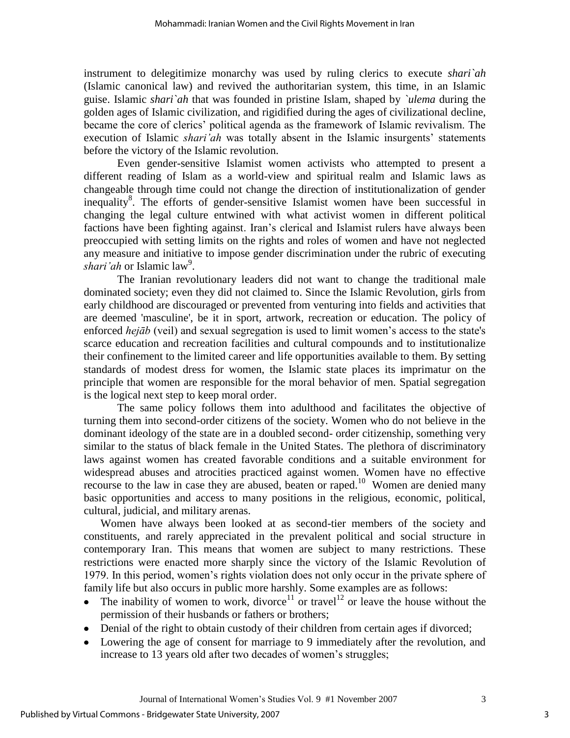instrument to delegitimize monarchy was used by ruling clerics to execute *shari`ah* (Islamic canonical law) and revived the authoritarian system, this time, in an Islamic guise. Islamic *shari`ah* that was founded in pristine Islam, shaped by *`ulema* during the golden ages of Islamic civilization, and rigidified during the ages of civilizational decline, became the core of clerics" political agenda as the framework of Islamic revivalism. The execution of Islamic *shari'ah* was totally absent in the Islamic insurgents' statements before the victory of the Islamic revolution.

Even gender-sensitive Islamist women activists who attempted to present a different reading of Islam as a world-view and spiritual realm and Islamic laws as changeable through time could not change the direction of institutionalization of gender inequality<sup>8</sup>. The efforts of gender-sensitive Islamist women have been successful in changing the legal culture entwined with what activist women in different political factions have been fighting against. Iran"s clerical and Islamist rulers have always been preoccupied with setting limits on the rights and roles of women and have not neglected any measure and initiative to impose gender discrimination under the rubric of executing shari'ah or Islamic law<sup>9</sup>.

The Iranian revolutionary leaders did not want to change the traditional male dominated society; even they did not claimed to. Since the Islamic Revolution, girls from early childhood are discouraged or prevented from venturing into fields and activities that are deemed 'masculine', be it in sport, artwork, recreation or education. The policy of enforced *hejāb* (veil) and sexual segregation is used to limit women's access to the state's scarce education and recreation facilities and cultural compounds and to institutionalize their confinement to the limited career and life opportunities available to them. By setting standards of modest dress for women, the Islamic state places its imprimatur on the principle that women are responsible for the moral behavior of men. Spatial segregation is the logical next step to keep moral order.

The same policy follows them into adulthood and facilitates the objective of turning them into second-order citizens of the society. Women who do not believe in the dominant ideology of the state are in a doubled second- order citizenship, something very similar to the status of black female in the United States. The plethora of discriminatory laws against women has created favorable conditions and a suitable environment for widespread abuses and atrocities practiced against women. Women have no effective recourse to the law in case they are abused, beaten or raped.<sup>10</sup> Women are denied many basic opportunities and access to many positions in the religious, economic, political, cultural, judicial, and military arenas.

Women have always been looked at as second-tier members of the society and constituents, and rarely appreciated in the prevalent political and social structure in contemporary Iran. This means that women are subject to many restrictions. These restrictions were enacted more sharply since the victory of the Islamic Revolution of 1979. In this period, women"s rights violation does not only occur in the private sphere of family life but also occurs in public more harshly. Some examples are as follows:

- The inability of women to work, divorce<sup>11</sup> or travel<sup>12</sup> or leave the house without the permission of their husbands or fathers or brothers;
- Denial of the right to obtain custody of their children from certain ages if divorced;
- Lowering the age of consent for marriage to 9 immediately after the revolution, and increase to 13 years old after two decades of women's struggles;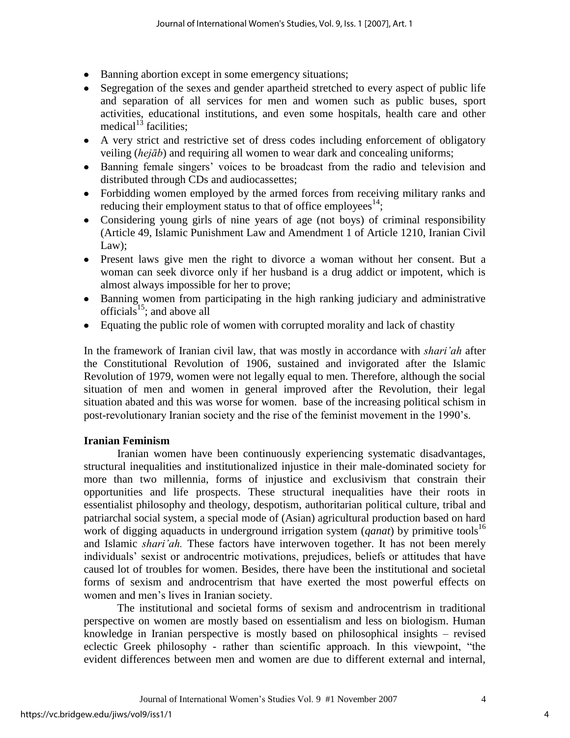- Banning abortion except in some emergency situations;
- Segregation of the sexes and gender apartheid stretched to every aspect of public life and separation of all services for men and women such as public buses, sport activities, educational institutions, and even some hospitals, health care and other medical $^{13}$  facilities:
- A very strict and restrictive set of dress codes including enforcement of obligatory veiling (*hejāb*) and requiring all women to wear dark and concealing uniforms;
- Banning female singers' voices to be broadcast from the radio and television and distributed through CDs and audiocassettes;
- Forbidding women employed by the armed forces from receiving military ranks and reducing their employment status to that of office employees $^{14}$ ;
- Considering young girls of nine years of age (not boys) of criminal responsibility (Article 49, Islamic Punishment Law and Amendment 1 of Article 1210, Iranian Civil Law);
- Present laws give men the right to divorce a woman without her consent. But a woman can seek divorce only if her husband is a drug addict or impotent, which is almost always impossible for her to prove;
- Banning women from participating in the high ranking judiciary and administrative officials<sup>15</sup>; and above all
- Equating the public role of women with corrupted morality and lack of chastity

In the framework of Iranian civil law, that was mostly in accordance with *shari'ah* after the Constitutional Revolution of 1906, sustained and invigorated after the Islamic Revolution of 1979, women were not legally equal to men. Therefore, although the social situation of men and women in general improved after the Revolution, their legal situation abated and this was worse for women. base of the increasing political schism in post-revolutionary Iranian society and the rise of the feminist movement in the 1990"s.

### **Iranian Feminism**

Iranian women have been continuously experiencing systematic disadvantages, structural inequalities and institutionalized injustice in their male-dominated society for more than two millennia, forms of injustice and exclusivism that constrain their opportunities and life prospects. These structural inequalities have their roots in essentialist philosophy and theology, despotism, authoritarian political culture, tribal and patriarchal social system, a special mode of (Asian) agricultural production based on hard work of digging aquaducts in underground irrigation system (*qanat*) by primitive tools<sup>16</sup> and Islamic *shari'ah.* These factors have interwoven together. It has not been merely individuals" sexist or androcentric motivations, prejudices, beliefs or attitudes that have caused lot of troubles for women. Besides, there have been the institutional and societal forms of sexism and androcentrism that have exerted the most powerful effects on women and men"s lives in Iranian society.

The institutional and societal forms of sexism and androcentrism in traditional perspective on women are mostly based on essentialism and less on biologism. Human knowledge in Iranian perspective is mostly based on philosophical insights – revised eclectic Greek philosophy - rather than scientific approach. In this viewpoint, "the evident differences between men and women are due to different external and internal,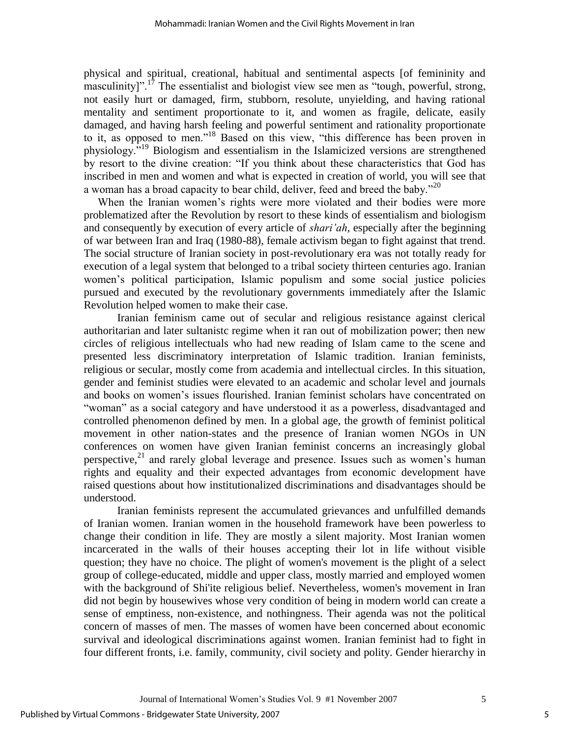physical and spiritual, creational, habitual and sentimental aspects [of femininity and masculinity]".<sup>17</sup> The essentialist and biologist view see men as "tough, powerful, strong, not easily hurt or damaged, firm, stubborn, resolute, unyielding, and having rational mentality and sentiment proportionate to it, and women as fragile, delicate, easily damaged, and having harsh feeling and powerful sentiment and rationality proportionate to it, as opposed to men."<sup>18</sup> Based on this view, "this difference has been proven in physiology."<sup>19</sup> Biologism and essentialism in the Islamicized versions are strengthened by resort to the divine creation: "If you think about these characteristics that God has inscribed in men and women and what is expected in creation of world, you will see that a woman has a broad capacity to bear child, deliver, feed and breed the baby."<sup>20</sup>

 When the Iranian women"s rights were more violated and their bodies were more problematized after the Revolution by resort to these kinds of essentialism and biologism and consequently by execution of every article of *shari'ah*, especially after the beginning of war between Iran and Iraq (1980-88), female activism began to fight against that trend. The social structure of Iranian society in post-revolutionary era was not totally ready for execution of a legal system that belonged to a tribal society thirteen centuries ago. Iranian women"s political participation, Islamic populism and some social justice policies pursued and executed by the revolutionary governments immediately after the Islamic Revolution helped women to make their case.

Iranian feminism came out of secular and religious resistance against clerical authoritarian and later sultanistc regime when it ran out of mobilization power; then new circles of religious intellectuals who had new reading of Islam came to the scene and presented less discriminatory interpretation of Islamic tradition. Iranian feminists, religious or secular, mostly come from academia and intellectual circles. In this situation, gender and feminist studies were elevated to an academic and scholar level and journals and books on women"s issues flourished. Iranian feminist scholars have concentrated on "woman" as a social category and have understood it as a powerless, disadvantaged and controlled phenomenon defined by men. In a global age, the growth of feminist political movement in other nation-states and the presence of Iranian women NGOs in UN conferences on women have given Iranian feminist concerns an increasingly global perspective,<sup>21</sup> and rarely global leverage and presence. Issues such as women's human rights and equality and their expected advantages from economic development have raised questions about how institutionalized discriminations and disadvantages should be understood.

 Iranian feminists represent the accumulated grievances and unfulfilled demands of Iranian women. Iranian women in the household framework have been powerless to change their condition in life. They are mostly a silent majority. Most Iranian women incarcerated in the walls of their houses accepting their lot in life without visible question; they have no choice. The plight of women's movement is the plight of a select group of college-educated, middle and upper class, mostly married and employed women with the background of Shi'ite religious belief. Nevertheless, women's movement in Iran did not begin by housewives whose very condition of being in modern world can create a sense of emptiness, non-existence, and nothingness. Their agenda was not the political concern of masses of men. The masses of women have been concerned about economic survival and ideological discriminations against women. Iranian feminist had to fight in four different fronts, i.e. family, community, civil society and polity. Gender hierarchy in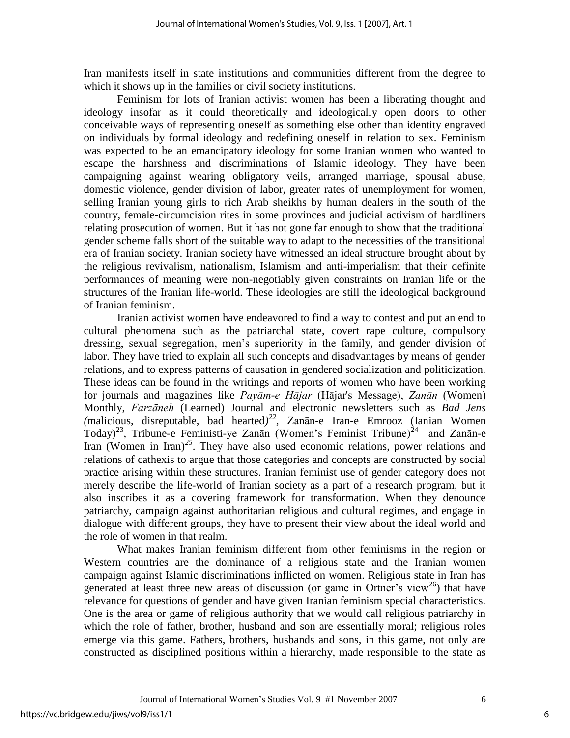Iran manifests itself in state institutions and communities different from the degree to which it shows up in the families or civil society institutions.

 Feminism for lots of Iranian activist women has been a liberating thought and ideology insofar as it could theoretically and ideologically open doors to other conceivable ways of representing oneself as something else other than identity engraved on individuals by formal ideology and redefining oneself in relation to sex. Feminism was expected to be an emancipatory ideology for some Iranian women who wanted to escape the harshness and discriminations of Islamic ideology. They have been campaigning against wearing obligatory veils, arranged marriage, spousal abuse, domestic violence, gender division of labor, greater rates of unemployment for women, selling Iranian young girls to rich Arab sheikhs by human dealers in the south of the country, female-circumcision rites in some provinces and judicial activism of hardliners relating prosecution of women. But it has not gone far enough to show that the traditional gender scheme falls short of the suitable way to adapt to the necessities of the transitional era of Iranian society. Iranian society have witnessed an ideal structure brought about by the religious revivalism, nationalism, Islamism and anti-imperialism that their definite performances of meaning were non-negotiably given constraints on Iranian life or the structures of the Iranian life-world. These ideologies are still the ideological background of Iranian feminism.

Iranian activist women have endeavored to find a way to contest and put an end to cultural phenomena such as the patriarchal state, covert rape culture, compulsory dressing, sexual segregation, men"s superiority in the family, and gender division of labor. They have tried to explain all such concepts and disadvantages by means of gender relations, and to express patterns of causation in gendered socialization and politicization. These ideas can be found in the writings and reports of women who have been working for journals and magazines like *Payām-e Hājar* (Hājar's Message), *Zanān* (Women) Monthly, *Farzāneh* (Learned) Journal and electronic newsletters such as *Bad Jens*   $(malicious, disreputable, bad heard)<sup>22</sup>, Zanān-e Iran-e Emrooz (Ianian Women)$ Today)<sup>23</sup>, Tribune-e Feministi-ye Zanān (Women's Feminist Tribune)<sup>24</sup> and Zanān-e Iran (Women in Iran)*<sup>25</sup>*. They have also used economic relations, power relations and relations of cathexis to argue that those categories and concepts are constructed by social practice arising within these structures. Iranian feminist use of gender category does not merely describe the life-world of Iranian society as a part of a research program, but it also inscribes it as a covering framework for transformation. When they denounce patriarchy, campaign against authoritarian religious and cultural regimes, and engage in dialogue with different groups, they have to present their view about the ideal world and the role of women in that realm.

 What makes Iranian feminism different from other feminisms in the region or Western countries are the dominance of a religious state and the Iranian women campaign against Islamic discriminations inflicted on women. Religious state in Iran has generated at least three new areas of discussion (or game in Ortner's view<sup>26</sup>) that have relevance for questions of gender and have given Iranian feminism special characteristics. One is the area or game of religious authority that we would call religious patriarchy in which the role of father, brother, husband and son are essentially moral; religious roles emerge via this game. Fathers, brothers, husbands and sons, in this game, not only are constructed as disciplined positions within a hierarchy, made responsible to the state as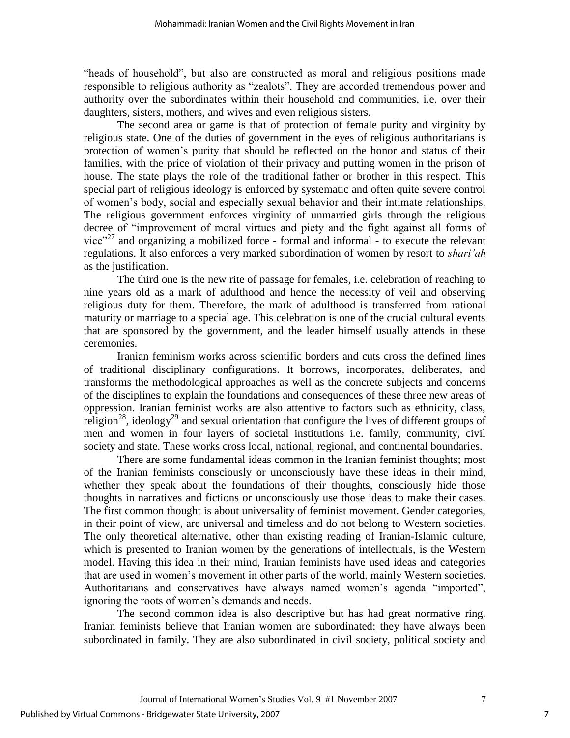"heads of household", but also are constructed as moral and religious positions made responsible to religious authority as "zealots". They are accorded tremendous power and authority over the subordinates within their household and communities, i.e. over their daughters, sisters, mothers, and wives and even religious sisters.

The second area or game is that of protection of female purity and virginity by religious state. One of the duties of government in the eyes of religious authoritarians is protection of women"s purity that should be reflected on the honor and status of their families, with the price of violation of their privacy and putting women in the prison of house. The state plays the role of the traditional father or brother in this respect. This special part of religious ideology is enforced by systematic and often quite severe control of women"s body, social and especially sexual behavior and their intimate relationships. The religious government enforces virginity of unmarried girls through the religious decree of "improvement of moral virtues and piety and the fight against all forms of vice"<sup>27</sup> and organizing a mobilized force - formal and informal - to execute the relevant regulations. It also enforces a very marked subordination of women by resort to *shari'ah*  as the justification.

 The third one is the new rite of passage for females, i.e. celebration of reaching to nine years old as a mark of adulthood and hence the necessity of veil and observing religious duty for them. Therefore, the mark of adulthood is transferred from rational maturity or marriage to a special age. This celebration is one of the crucial cultural events that are sponsored by the government, and the leader himself usually attends in these ceremonies.

Iranian feminism works across scientific borders and cuts cross the defined lines of traditional disciplinary configurations. It borrows, incorporates, deliberates, and transforms the methodological approaches as well as the concrete subjects and concerns of the disciplines to explain the foundations and consequences of these three new areas of oppression. Iranian feminist works are also attentive to factors such as ethnicity, class, religion<sup>28</sup>, ideology<sup>29</sup> and sexual orientation that configure the lives of different groups of men and women in four layers of societal institutions i.e. family, community, civil society and state. These works cross local, national, regional, and continental boundaries.

There are some fundamental ideas common in the Iranian feminist thoughts; most of the Iranian feminists consciously or unconsciously have these ideas in their mind, whether they speak about the foundations of their thoughts, consciously hide those thoughts in narratives and fictions or unconsciously use those ideas to make their cases. The first common thought is about universality of feminist movement. Gender categories, in their point of view, are universal and timeless and do not belong to Western societies. The only theoretical alternative, other than existing reading of Iranian-Islamic culture, which is presented to Iranian women by the generations of intellectuals, is the Western model. Having this idea in their mind, Iranian feminists have used ideas and categories that are used in women"s movement in other parts of the world, mainly Western societies. Authoritarians and conservatives have always named women"s agenda "imported", ignoring the roots of women"s demands and needs.

The second common idea is also descriptive but has had great normative ring. Iranian feminists believe that Iranian women are subordinated; they have always been subordinated in family. They are also subordinated in civil society, political society and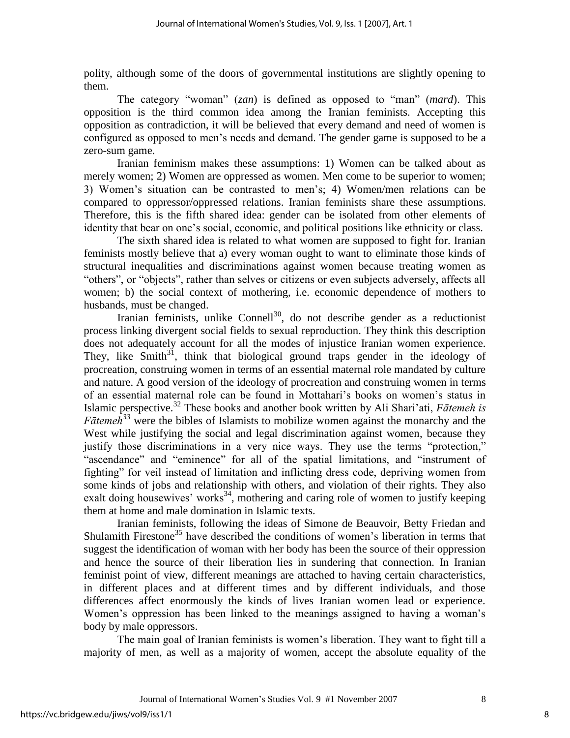polity, although some of the doors of governmental institutions are slightly opening to them.

The category "woman" (*zan*) is defined as opposed to "man" (*mard*). This opposition is the third common idea among the Iranian feminists. Accepting this opposition as contradiction, it will be believed that every demand and need of women is configured as opposed to men"s needs and demand. The gender game is supposed to be a zero-sum game.

Iranian feminism makes these assumptions: 1) Women can be talked about as merely women; 2) Women are oppressed as women. Men come to be superior to women; 3) Women"s situation can be contrasted to men"s; 4) Women/men relations can be compared to oppressor/oppressed relations. Iranian feminists share these assumptions. Therefore, this is the fifth shared idea: gender can be isolated from other elements of identity that bear on one's social, economic, and political positions like ethnicity or class.

The sixth shared idea is related to what women are supposed to fight for. Iranian feminists mostly believe that a) every woman ought to want to eliminate those kinds of structural inequalities and discriminations against women because treating women as "others", or "objects", rather than selves or citizens or even subjects adversely, affects all women; b) the social context of mothering, i.e. economic dependence of mothers to husbands, must be changed.

Iranian feminists, unlike Connell<sup>30</sup>, do not describe gender as a reductionist process linking divergent social fields to sexual reproduction. They think this description does not adequately account for all the modes of injustice Iranian women experience. They, like Smith<sup>31</sup>, think that biological ground traps gender in the ideology of procreation, construing women in terms of an essential maternal role mandated by culture and nature. A good version of the ideology of procreation and construing women in terms of an essential maternal role can be found in Mottahari"s books on women"s status in Islamic perspective.<sup>32</sup> These books and another book written by Ali Shari"ati, *Fātemeh is Fātemeh<sup>33</sup>* were the bibles of Islamists to mobilize women against the monarchy and the West while justifying the social and legal discrimination against women, because they justify those discriminations in a very nice ways. They use the terms "protection," "ascendance" and "eminence" for all of the spatial limitations, and "instrument of fighting" for veil instead of limitation and inflicting dress code, depriving women from some kinds of jobs and relationship with others, and violation of their rights. They also exalt doing housewives' works<sup>34</sup>, mothering and caring role of women to justify keeping them at home and male domination in Islamic texts.

Iranian feminists, following the ideas of Simone de Beauvoir, Betty Friedan and Shulamith Firestone<sup>35</sup> have described the conditions of women's liberation in terms that suggest the identification of woman with her body has been the source of their oppression and hence the source of their liberation lies in sundering that connection. In Iranian feminist point of view, different meanings are attached to having certain characteristics, in different places and at different times and by different individuals, and those differences affect enormously the kinds of lives Iranian women lead or experience. Women's oppression has been linked to the meanings assigned to having a woman's body by male oppressors.

The main goal of Iranian feminists is women"s liberation. They want to fight till a majority of men, as well as a majority of women, accept the absolute equality of the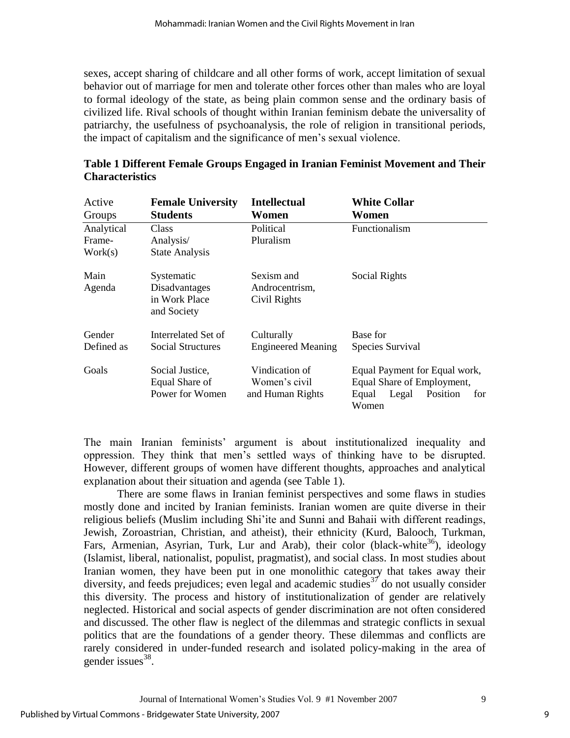sexes, accept sharing of childcare and all other forms of work, accept limitation of sexual behavior out of marriage for men and tolerate other forces other than males who are loyal to formal ideology of the state, as being plain common sense and the ordinary basis of civilized life. Rival schools of thought within Iranian feminism debate the universality of patriarchy, the usefulness of psychoanalysis, the role of religion in transitional periods, the impact of capitalism and the significance of men"s sexual violence.

| Active                    | <b>Female University</b>                                                             | <b>Intellectual</b>                                 | <b>White Collar</b>                                                                                       |
|---------------------------|--------------------------------------------------------------------------------------|-----------------------------------------------------|-----------------------------------------------------------------------------------------------------------|
| Groups                    | <b>Students</b>                                                                      | Women                                               | Women                                                                                                     |
| Analytical                | <b>Class</b>                                                                         | Political                                           | <b>Functionalism</b>                                                                                      |
| Frame-                    | Analysis/                                                                            | Pluralism                                           |                                                                                                           |
| Work(s)<br>Main<br>Agenda | <b>State Analysis</b><br>Systematic<br>Disadvantages<br>in Work Place<br>and Society | Sexism and<br>Androcentrism,<br>Civil Rights        | Social Rights                                                                                             |
| Gender                    | Interrelated Set of                                                                  | Culturally                                          | Base for                                                                                                  |
| Defined as                | Social Structures                                                                    | <b>Engineered Meaning</b>                           | Species Survival                                                                                          |
| Goals                     | Social Justice,<br>Equal Share of<br>Power for Women                                 | Vindication of<br>Women's civil<br>and Human Rights | Equal Payment for Equal work,<br>Equal Share of Employment,<br>Legal<br>Position<br>Equal<br>for<br>Women |

| Table 1 Different Female Groups Engaged in Iranian Feminist Movement and Their |  |
|--------------------------------------------------------------------------------|--|
| <b>Characteristics</b>                                                         |  |

The main Iranian feminists" argument is about institutionalized inequality and oppression. They think that men"s settled ways of thinking have to be disrupted. However, different groups of women have different thoughts, approaches and analytical explanation about their situation and agenda (see Table 1).

There are some flaws in Iranian feminist perspectives and some flaws in studies mostly done and incited by Iranian feminists. Iranian women are quite diverse in their religious beliefs (Muslim including Shi"ite and Sunni and Bahaii with different readings, Jewish, Zoroastrian, Christian, and atheist), their ethnicity (Kurd, Balooch, Turkman, Fars, Armenian, Asyrian, Turk, Lur and Arab), their color (black-white<sup>36</sup>), ideology (Islamist, liberal, nationalist, populist, pragmatist), and social class. In most studies about Iranian women, they have been put in one monolithic category that takes away their diversity, and feeds prejudices; even legal and academic studies<sup>37</sup> do not usually consider this diversity. The process and history of institutionalization of gender are relatively neglected. Historical and social aspects of gender discrimination are not often considered and discussed. The other flaw is neglect of the dilemmas and strategic conflicts in sexual politics that are the foundations of a gender theory. These dilemmas and conflicts are rarely considered in under-funded research and isolated policy-making in the area of gender issues<sup>38</sup>.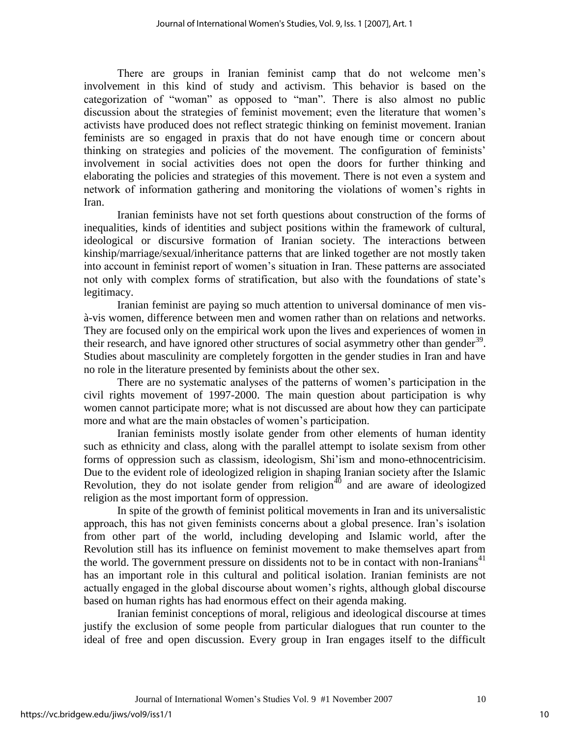There are groups in Iranian feminist camp that do not welcome men"s involvement in this kind of study and activism. This behavior is based on the categorization of "woman" as opposed to "man". There is also almost no public discussion about the strategies of feminist movement; even the literature that women"s activists have produced does not reflect strategic thinking on feminist movement. Iranian feminists are so engaged in praxis that do not have enough time or concern about thinking on strategies and policies of the movement. The configuration of feminists" involvement in social activities does not open the doors for further thinking and elaborating the policies and strategies of this movement. There is not even a system and network of information gathering and monitoring the violations of women"s rights in Iran.

Iranian feminists have not set forth questions about construction of the forms of inequalities, kinds of identities and subject positions within the framework of cultural, ideological or discursive formation of Iranian society. The interactions between kinship/marriage/sexual/inheritance patterns that are linked together are not mostly taken into account in feminist report of women"s situation in Iran. These patterns are associated not only with complex forms of stratification, but also with the foundations of state"s legitimacy.

Iranian feminist are paying so much attention to universal dominance of men visà-vis women, difference between men and women rather than on relations and networks. They are focused only on the empirical work upon the lives and experiences of women in their research, and have ignored other structures of social asymmetry other than gender<sup>39</sup>. Studies about masculinity are completely forgotten in the gender studies in Iran and have no role in the literature presented by feminists about the other sex.

There are no systematic analyses of the patterns of women"s participation in the civil rights movement of 1997-2000. The main question about participation is why women cannot participate more; what is not discussed are about how they can participate more and what are the main obstacles of women"s participation.

Iranian feminists mostly isolate gender from other elements of human identity such as ethnicity and class, along with the parallel attempt to isolate sexism from other forms of oppression such as classism, ideologism, Shi"ism and mono-ethnocentricisim. Due to the evident role of ideologized religion in shaping Iranian society after the Islamic Revolution, they do not isolate gender from religion<sup>40</sup> and are aware of ideologized religion as the most important form of oppression.

In spite of the growth of feminist political movements in Iran and its universalistic approach, this has not given feminists concerns about a global presence. Iran"s isolation from other part of the world, including developing and Islamic world, after the Revolution still has its influence on feminist movement to make themselves apart from the world. The government pressure on dissidents not to be in contact with non-Iranians<sup>41</sup> has an important role in this cultural and political isolation. Iranian feminists are not actually engaged in the global discourse about women's rights, although global discourse based on human rights has had enormous effect on their agenda making.

Iranian feminist conceptions of moral, religious and ideological discourse at times justify the exclusion of some people from particular dialogues that run counter to the ideal of free and open discussion. Every group in Iran engages itself to the difficult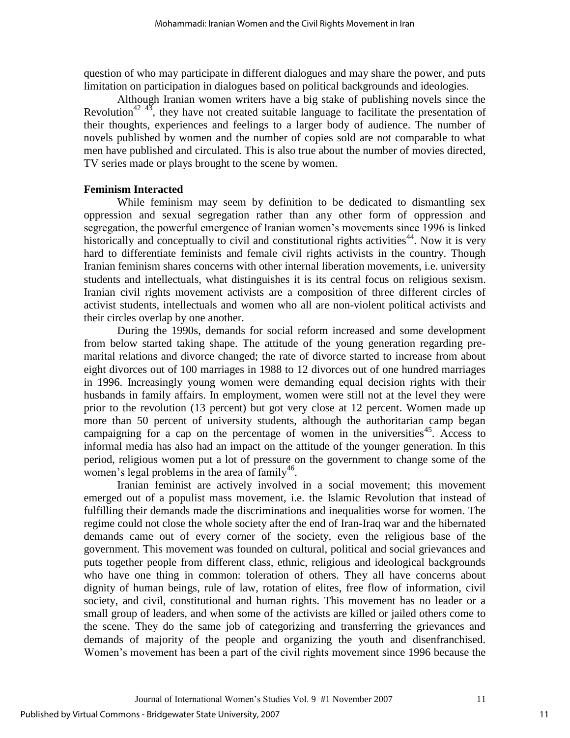question of who may participate in different dialogues and may share the power, and puts limitation on participation in dialogues based on political backgrounds and ideologies.

Although Iranian women writers have a big stake of publishing novels since the Revolution<sup>42 43</sup>, they have not created suitable language to facilitate the presentation of their thoughts, experiences and feelings to a larger body of audience. The number of novels published by women and the number of copies sold are not comparable to what men have published and circulated. This is also true about the number of movies directed, TV series made or plays brought to the scene by women.

#### **Feminism Interacted**

While feminism may seem by definition to be dedicated to dismantling sex oppression and sexual segregation rather than any other form of oppression and segregation, the powerful emergence of Iranian women"s movements since 1996 is linked historically and conceptually to civil and constitutional rights activities<sup>44</sup>. Now it is very hard to differentiate feminists and female civil rights activists in the country. Though Iranian feminism shares concerns with other internal liberation movements, i.e. university students and intellectuals, what distinguishes it is its central focus on religious sexism. Iranian civil rights movement activists are a composition of three different circles of activist students, intellectuals and women who all are non-violent political activists and their circles overlap by one another.

During the 1990s, demands for social reform increased and some development from below started taking shape. The attitude of the young generation regarding premarital relations and divorce changed; the rate of divorce started to increase from about eight divorces out of 100 marriages in 1988 to 12 divorces out of one hundred marriages in 1996. Increasingly young women were demanding equal decision rights with their husbands in family affairs. In employment, women were still not at the level they were prior to the revolution (13 percent) but got very close at 12 percent. Women made up more than 50 percent of university students, although the authoritarian camp began campaigning for a cap on the percentage of women in the universities<sup>45</sup>. Access to informal media has also had an impact on the attitude of the younger generation. In this period, religious women put a lot of pressure on the government to change some of the women's legal problems in the area of family<sup>46</sup>.

Iranian feminist are actively involved in a social movement; this movement emerged out of a populist mass movement, i.e. the Islamic Revolution that instead of fulfilling their demands made the discriminations and inequalities worse for women. The regime could not close the whole society after the end of Iran-Iraq war and the hibernated demands came out of every corner of the society, even the religious base of the government. This movement was founded on cultural, political and social grievances and puts together people from different class, ethnic, religious and ideological backgrounds who have one thing in common: toleration of others. They all have concerns about dignity of human beings, rule of law, rotation of elites, free flow of information, civil society, and civil, constitutional and human rights. This movement has no leader or a small group of leaders, and when some of the activists are killed or jailed others come to the scene. They do the same job of categorizing and transferring the grievances and demands of majority of the people and organizing the youth and disenfranchised. Women's movement has been a part of the civil rights movement since 1996 because the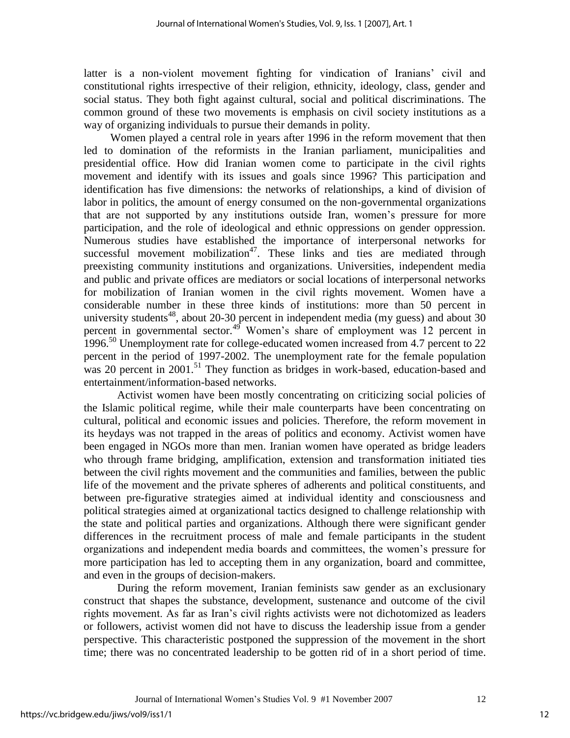latter is a non-violent movement fighting for vindication of Iranians' civil and constitutional rights irrespective of their religion, ethnicity, ideology, class, gender and social status. They both fight against cultural, social and political discriminations. The common ground of these two movements is emphasis on civil society institutions as a way of organizing individuals to pursue their demands in polity.

Women played a central role in years after 1996 in the reform movement that then led to domination of the reformists in the Iranian parliament, municipalities and presidential office. How did Iranian women come to participate in the civil rights movement and identify with its issues and goals since 1996? This participation and identification has five dimensions: the networks of relationships, a kind of division of labor in politics, the amount of energy consumed on the non-governmental organizations that are not supported by any institutions outside Iran, women"s pressure for more participation, and the role of ideological and ethnic oppressions on gender oppression. Numerous studies have established the importance of interpersonal networks for successful movement mobilization<sup>47</sup>. These links and ties are mediated through preexisting community institutions and organizations. Universities, independent media and public and private offices are mediators or social locations of interpersonal networks for mobilization of Iranian women in the civil rights movement. Women have a considerable number in these three kinds of institutions: more than 50 percent in university students<sup>48</sup>, about 20-30 percent in independent media (my guess) and about 30 percent in governmental sector.<sup>49</sup> Women's share of employment was 12 percent in 1996.<sup>50</sup> Unemployment rate for college-educated women increased from 4.7 percent to 22 percent in the period of 1997-2002. The unemployment rate for the female population was 20 percent in  $2001$ .<sup>51</sup> They function as bridges in work-based, education-based and entertainment/information-based networks.

Activist women have been mostly concentrating on criticizing social policies of the Islamic political regime, while their male counterparts have been concentrating on cultural, political and economic issues and policies. Therefore, the reform movement in its heydays was not trapped in the areas of politics and economy. Activist women have been engaged in NGOs more than men. Iranian women have operated as bridge leaders who through frame bridging, amplification, extension and transformation initiated ties between the civil rights movement and the communities and families, between the public life of the movement and the private spheres of adherents and political constituents, and between pre-figurative strategies aimed at individual identity and consciousness and political strategies aimed at organizational tactics designed to challenge relationship with the state and political parties and organizations. Although there were significant gender differences in the recruitment process of male and female participants in the student organizations and independent media boards and committees, the women"s pressure for more participation has led to accepting them in any organization, board and committee, and even in the groups of decision-makers.

 During the reform movement, Iranian feminists saw gender as an exclusionary construct that shapes the substance, development, sustenance and outcome of the civil rights movement. As far as Iran"s civil rights activists were not dichotomized as leaders or followers, activist women did not have to discuss the leadership issue from a gender perspective. This characteristic postponed the suppression of the movement in the short time; there was no concentrated leadership to be gotten rid of in a short period of time.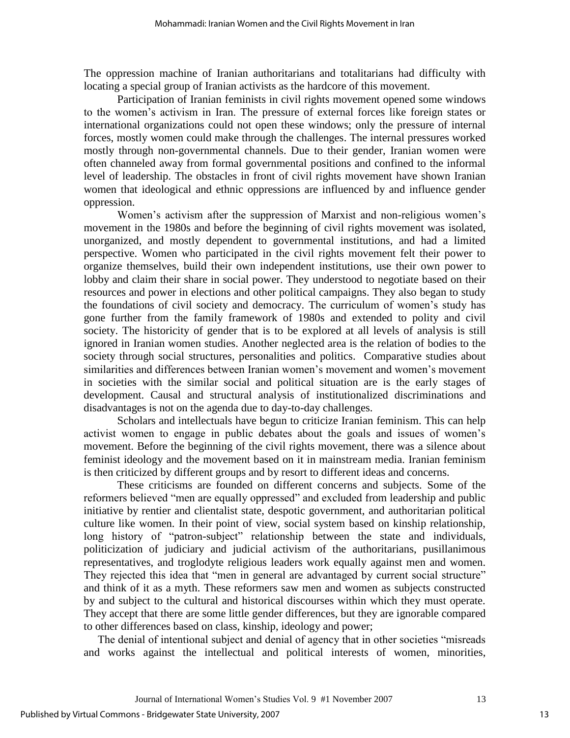The oppression machine of Iranian authoritarians and totalitarians had difficulty with locating a special group of Iranian activists as the hardcore of this movement.

 Participation of Iranian feminists in civil rights movement opened some windows to the women"s activism in Iran. The pressure of external forces like foreign states or international organizations could not open these windows; only the pressure of internal forces, mostly women could make through the challenges. The internal pressures worked mostly through non-governmental channels. Due to their gender, Iranian women were often channeled away from formal governmental positions and confined to the informal level of leadership. The obstacles in front of civil rights movement have shown Iranian women that ideological and ethnic oppressions are influenced by and influence gender oppression.

Women's activism after the suppression of Marxist and non-religious women's movement in the 1980s and before the beginning of civil rights movement was isolated, unorganized, and mostly dependent to governmental institutions, and had a limited perspective. Women who participated in the civil rights movement felt their power to organize themselves, build their own independent institutions, use their own power to lobby and claim their share in social power. They understood to negotiate based on their resources and power in elections and other political campaigns. They also began to study the foundations of civil society and democracy. The curriculum of women"s study has gone further from the family framework of 1980s and extended to polity and civil society. The historicity of gender that is to be explored at all levels of analysis is still ignored in Iranian women studies. Another neglected area is the relation of bodies to the society through social structures, personalities and politics. Comparative studies about similarities and differences between Iranian women's movement and women's movement in societies with the similar social and political situation are is the early stages of development. Causal and structural analysis of institutionalized discriminations and disadvantages is not on the agenda due to day-to-day challenges.

 Scholars and intellectuals have begun to criticize Iranian feminism. This can help activist women to engage in public debates about the goals and issues of women"s movement. Before the beginning of the civil rights movement, there was a silence about feminist ideology and the movement based on it in mainstream media. Iranian feminism is then criticized by different groups and by resort to different ideas and concerns.

 These criticisms are founded on different concerns and subjects. Some of the reformers believed "men are equally oppressed" and excluded from leadership and public initiative by rentier and clientalist state, despotic government, and authoritarian political culture like women. In their point of view, social system based on kinship relationship, long history of "patron-subject" relationship between the state and individuals, politicization of judiciary and judicial activism of the authoritarians, pusillanimous representatives, and troglodyte religious leaders work equally against men and women. They rejected this idea that "men in general are advantaged by current social structure" and think of it as a myth. These reformers saw men and women as subjects constructed by and subject to the cultural and historical discourses within which they must operate. They accept that there are some little gender differences, but they are ignorable compared to other differences based on class, kinship, ideology and power;

 The denial of intentional subject and denial of agency that in other societies "misreads and works against the intellectual and political interests of women, minorities,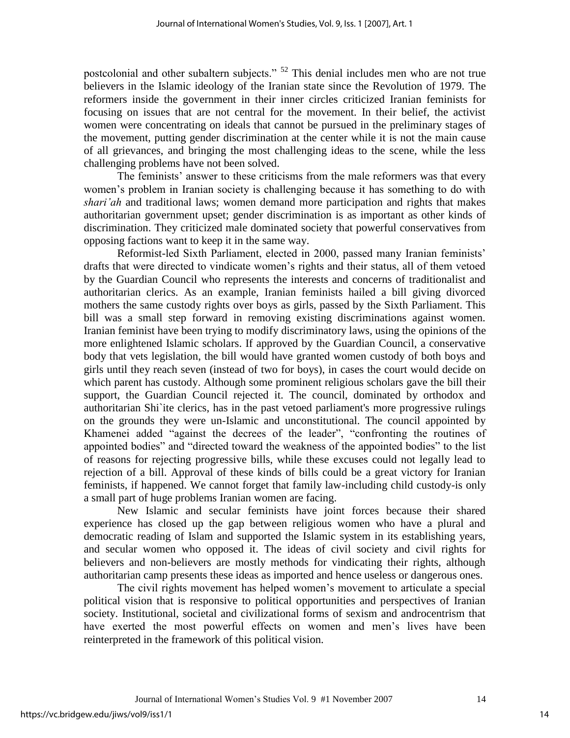postcolonial and other subaltern subjects." <sup>52</sup> This denial includes men who are not true believers in the Islamic ideology of the Iranian state since the Revolution of 1979. The reformers inside the government in their inner circles criticized Iranian feminists for focusing on issues that are not central for the movement. In their belief, the activist women were concentrating on ideals that cannot be pursued in the preliminary stages of the movement, putting gender discrimination at the center while it is not the main cause of all grievances, and bringing the most challenging ideas to the scene, while the less challenging problems have not been solved.

 The feminists" answer to these criticisms from the male reformers was that every women"s problem in Iranian society is challenging because it has something to do with *shari'ah* and traditional laws; women demand more participation and rights that makes authoritarian government upset; gender discrimination is as important as other kinds of discrimination. They criticized male dominated society that powerful conservatives from opposing factions want to keep it in the same way.

 Reformist-led Sixth Parliament, elected in 2000, passed many Iranian feminists" drafts that were directed to vindicate women"s rights and their status, all of them vetoed by the Guardian Council who represents the interests and concerns of traditionalist and authoritarian clerics. As an example, Iranian feminists hailed a bill giving divorced mothers the same custody rights over boys as girls, passed by the Sixth Parliament. This bill was a small step forward in removing existing discriminations against women. Iranian feminist have been trying to modify discriminatory laws, using the opinions of the more enlightened Islamic scholars. If approved by the Guardian Council, a conservative body that vets legislation, the bill would have granted women custody of both boys and girls until they reach seven (instead of two for boys), in cases the court would decide on which parent has custody. Although some prominent religious scholars gave the bill their support, the Guardian Council rejected it. The council, dominated by orthodox and authoritarian Shi`ite clerics, has in the past vetoed parliament's more progressive rulings on the grounds they were un-Islamic and unconstitutional. The council appointed by Khamenei added "against the decrees of the leader", "confronting the routines of appointed bodies" and "directed toward the weakness of the appointed bodies" to the list of reasons for rejecting progressive bills, while these excuses could not legally lead to rejection of a bill. Approval of these kinds of bills could be a great victory for Iranian feminists, if happened. We cannot forget that family law-including child custody-is only a small part of huge problems Iranian women are facing.

 New Islamic and secular feminists have joint forces because their shared experience has closed up the gap between religious women who have a plural and democratic reading of Islam and supported the Islamic system in its establishing years, and secular women who opposed it. The ideas of civil society and civil rights for believers and non-believers are mostly methods for vindicating their rights, although authoritarian camp presents these ideas as imported and hence useless or dangerous ones.

 The civil rights movement has helped women"s movement to articulate a special political vision that is responsive to political opportunities and perspectives of Iranian society. Institutional, societal and civilizational forms of sexism and androcentrism that have exerted the most powerful effects on women and men"s lives have been reinterpreted in the framework of this political vision.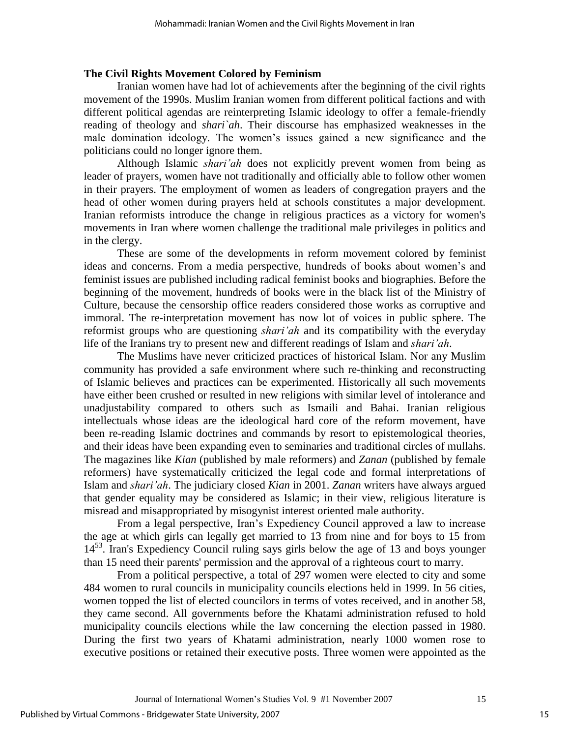#### **The Civil Rights Movement Colored by Feminism**

Iranian women have had lot of achievements after the beginning of the civil rights movement of the 1990s. Muslim Iranian women from different political factions and with different political agendas are reinterpreting Islamic ideology to offer a female-friendly reading of theology and *shari`ah*. Their discourse has emphasized weaknesses in the male domination ideology. The women"s issues gained a new significance and the politicians could no longer ignore them.

 Although Islamic *shari'ah* does not explicitly prevent women from being as leader of prayers, women have not traditionally and officially able to follow other women in their prayers. The employment of women as leaders of congregation prayers and the head of other women during prayers held at schools constitutes a major development. Iranian reformists introduce the change in religious practices as a victory for women's movements in Iran where women challenge the traditional male privileges in politics and in the clergy.

 These are some of the developments in reform movement colored by feminist ideas and concerns. From a media perspective, hundreds of books about women"s and feminist issues are published including radical feminist books and biographies. Before the beginning of the movement, hundreds of books were in the black list of the Ministry of Culture, because the censorship office readers considered those works as corruptive and immoral. The re-interpretation movement has now lot of voices in public sphere. The reformist groups who are questioning *shari'ah* and its compatibility with the everyday life of the Iranians try to present new and different readings of Islam and *shari'ah*.

 The Muslims have never criticized practices of historical Islam. Nor any Muslim community has provided a safe environment where such re-thinking and reconstructing of Islamic believes and practices can be experimented. Historically all such movements have either been crushed or resulted in new religions with similar level of intolerance and unadjustability compared to others such as Ismaili and Bahai. Iranian religious intellectuals whose ideas are the ideological hard core of the reform movement, have been re-reading Islamic doctrines and commands by resort to epistemological theories, and their ideas have been expanding even to seminaries and traditional circles of mullahs. The magazines like *Kian* (published by male reformers) and *Zanan* (published by female reformers) have systematically criticized the legal code and formal interpretations of Islam and *shari'ah*. The judiciary closed *Kian* in 2001. *Zanan* writers have always argued that gender equality may be considered as Islamic; in their view, religious literature is misread and misappropriated by misogynist interest oriented male authority.

 From a legal perspective, Iran"s Expediency Council approved a law to increase the age at which girls can legally get married to 13 from nine and for boys to 15 from  $14<sup>53</sup>$ . Iran's Expediency Council ruling says girls below the age of 13 and boys younger than 15 need their parents' permission and the approval of a righteous court to marry.

 From a political perspective, a total of 297 women were elected to city and some 484 women to rural councils in municipality councils elections held in 1999. In 56 cities, women topped the list of elected councilors in terms of votes received, and in another 58, they came second. All governments before the Khatami administration refused to hold municipality councils elections while the law concerning the election passed in 1980. During the first two years of Khatami administration, nearly 1000 women rose to executive positions or retained their executive posts. Three women were appointed as the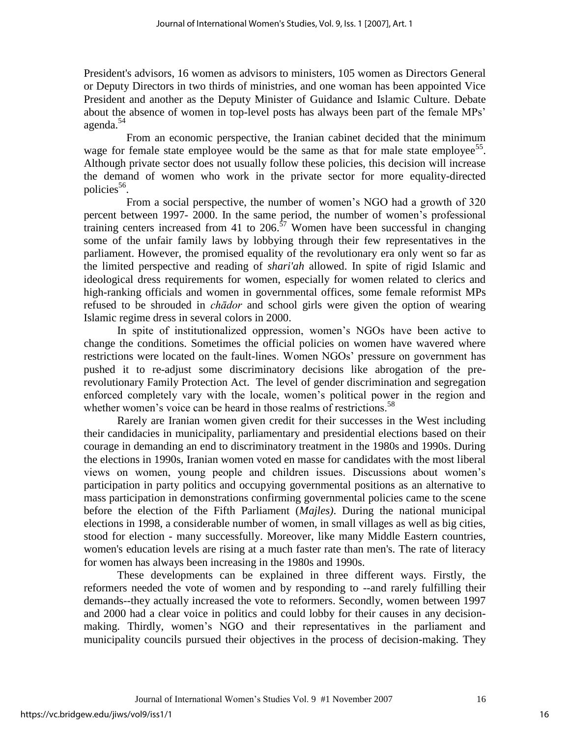President's advisors, 16 women as advisors to ministers, 105 women as Directors General or Deputy Directors in two thirds of ministries, and one woman has been appointed Vice President and another as the Deputy Minister of Guidance and Islamic Culture. Debate about the absence of women in top-level posts has always been part of the female MPs' agenda.<sup>54</sup>

 From an economic perspective, the Iranian cabinet decided that the minimum wage for female state employee would be the same as that for male state employee<sup>55</sup>. Although private sector does not usually follow these policies, this decision will increase the demand of women who work in the private sector for more equality-directed policies<sup>56</sup>.

 From a social perspective, the number of women"s NGO had a growth of 320 percent between 1997- 2000. In the same period, the number of women"s professional training centers increased from 41 to 206.<sup>57</sup> Women have been successful in changing some of the unfair family laws by lobbying through their few representatives in the parliament. However, the promised equality of the revolutionary era only went so far as the limited perspective and reading of *shari'ah* allowed. In spite of rigid Islamic and ideological dress requirements for women, especially for women related to clerics and high-ranking officials and women in governmental offices, some female reformist MPs refused to be shrouded in *chādor* and school girls were given the option of wearing Islamic regime dress in several colors in 2000.

 In spite of institutionalized oppression, women"s NGOs have been active to change the conditions. Sometimes the official policies on women have wavered where restrictions were located on the fault-lines. Women NGOs" pressure on government has pushed it to re-adjust some discriminatory decisions like abrogation of the prerevolutionary Family Protection Act. The level of gender discrimination and segregation enforced completely vary with the locale, women"s political power in the region and whether women's voice can be heard in those realms of restrictions.<sup>58</sup>

 Rarely are Iranian women given credit for their successes in the West including their candidacies in municipality, parliamentary and presidential elections based on their courage in demanding an end to discriminatory treatment in the 1980s and 1990s. During the elections in 1990s, Iranian women voted en masse for candidates with the most liberal views on women, young people and children issues. Discussions about women"s participation in party politics and occupying governmental positions as an alternative to mass participation in demonstrations confirming governmental policies came to the scene before the election of the Fifth Parliament (*Majles)*. During the national municipal elections in 1998, a considerable number of women, in small villages as well as big cities, stood for election - many successfully. Moreover, like many Middle Eastern countries, women's education levels are rising at a much faster rate than men's. The rate of literacy for women has always been increasing in the 1980s and 1990s.

 These developments can be explained in three different ways. Firstly, the reformers needed the vote of women and by responding to --and rarely fulfilling their demands--they actually increased the vote to reformers. Secondly, women between 1997 and 2000 had a clear voice in politics and could lobby for their causes in any decisionmaking. Thirdly, women"s NGO and their representatives in the parliament and municipality councils pursued their objectives in the process of decision-making. They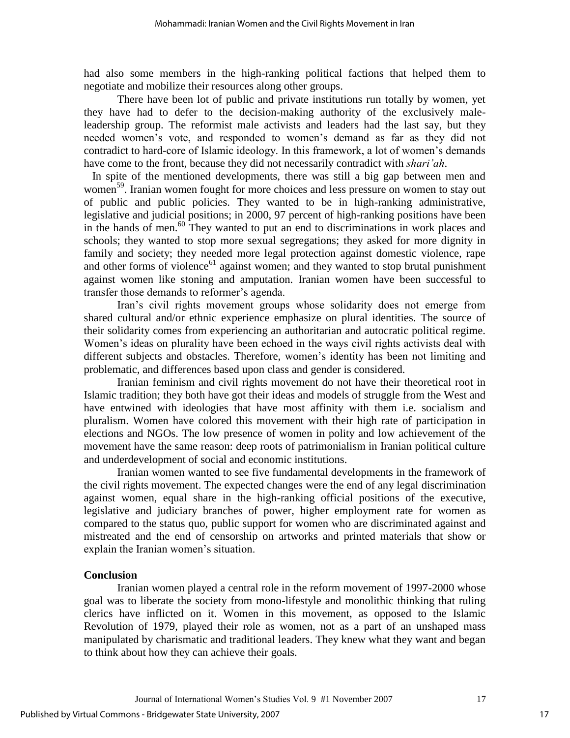had also some members in the high-ranking political factions that helped them to negotiate and mobilize their resources along other groups.

 There have been lot of public and private institutions run totally by women, yet they have had to defer to the decision-making authority of the exclusively maleleadership group. The reformist male activists and leaders had the last say, but they needed women"s vote, and responded to women"s demand as far as they did not contradict to hard-core of Islamic ideology. In this framework, a lot of women"s demands have come to the front, because they did not necessarily contradict with *shari'ah*.

 In spite of the mentioned developments, there was still a big gap between men and women<sup>59</sup>. Iranian women fought for more choices and less pressure on women to stay out of public and public policies. They wanted to be in high-ranking administrative, legislative and judicial positions; in 2000, 97 percent of high-ranking positions have been in the hands of men.<sup>60</sup> They wanted to put an end to discriminations in work places and schools; they wanted to stop more sexual segregations; they asked for more dignity in family and society; they needed more legal protection against domestic violence, rape and other forms of violence $61$  against women; and they wanted to stop brutal punishment against women like stoning and amputation. Iranian women have been successful to transfer those demands to reformer's agenda.

 Iran"s civil rights movement groups whose solidarity does not emerge from shared cultural and/or ethnic experience emphasize on plural identities. The source of their solidarity comes from experiencing an authoritarian and autocratic political regime. Women's ideas on plurality have been echoed in the ways civil rights activists deal with different subjects and obstacles. Therefore, women's identity has been not limiting and problematic, and differences based upon class and gender is considered.

 Iranian feminism and civil rights movement do not have their theoretical root in Islamic tradition; they both have got their ideas and models of struggle from the West and have entwined with ideologies that have most affinity with them i.e. socialism and pluralism. Women have colored this movement with their high rate of participation in elections and NGOs. The low presence of women in polity and low achievement of the movement have the same reason: deep roots of patrimonialism in Iranian political culture and underdevelopment of social and economic institutions.

 Iranian women wanted to see five fundamental developments in the framework of the civil rights movement. The expected changes were the end of any legal discrimination against women, equal share in the high-ranking official positions of the executive, legislative and judiciary branches of power, higher employment rate for women as compared to the status quo, public support for women who are discriminated against and mistreated and the end of censorship on artworks and printed materials that show or explain the Iranian women's situation.

### **Conclusion**

 Iranian women played a central role in the reform movement of 1997-2000 whose goal was to liberate the society from mono-lifestyle and monolithic thinking that ruling clerics have inflicted on it. Women in this movement, as opposed to the Islamic Revolution of 1979, played their role as women, not as a part of an unshaped mass manipulated by charismatic and traditional leaders. They knew what they want and began to think about how they can achieve their goals.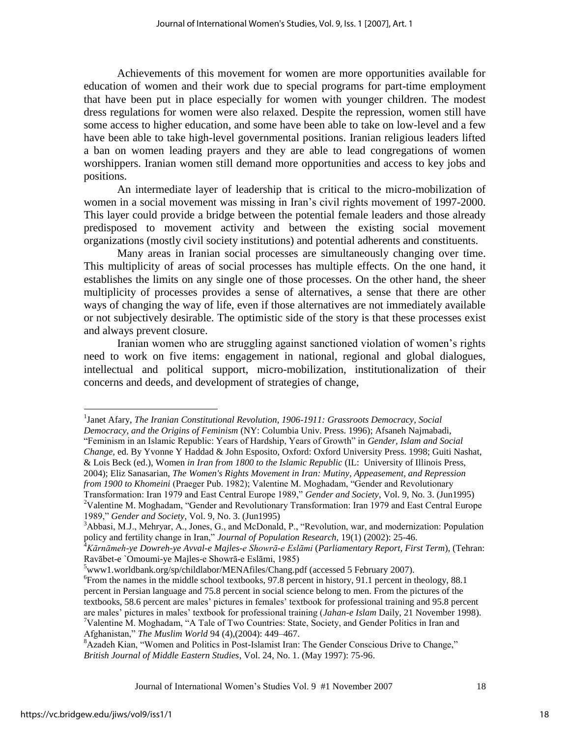Achievements of this movement for women are more opportunities available for education of women and their work due to special programs for part-time employment that have been put in place especially for women with younger children. The modest dress regulations for women were also relaxed. Despite the repression, women still have some access to higher education, and some have been able to take on low-level and a few have been able to take high-level governmental positions. Iranian religious leaders lifted a ban on women leading prayers and they are able to lead congregations of women worshippers. Iranian women still demand more opportunities and access to key jobs and positions.

 An intermediate layer of leadership that is critical to the micro-mobilization of women in a social movement was missing in Iran's civil rights movement of 1997-2000. This layer could provide a bridge between the potential female leaders and those already predisposed to movement activity and between the existing social movement organizations (mostly civil society institutions) and potential adherents and constituents.

 Many areas in Iranian social processes are simultaneously changing over time. This multiplicity of areas of social processes has multiple effects. On the one hand, it establishes the limits on any single one of those processes. On the other hand, the sheer multiplicity of processes provides a sense of alternatives, a sense that there are other ways of changing the way of life, even if those alternatives are not immediately available or not subjectively desirable. The optimistic side of the story is that these processes exist and always prevent closure.

 Iranian women who are struggling against sanctioned violation of women"s rights need to work on five items: engagement in national, regional and global dialogues, intellectual and political support, micro-mobilization, institutionalization of their concerns and deeds, and development of strategies of change,

Journal of International Women"s Studies Vol. 9 #1 November 2007 18

 $\overline{a}$ 

<sup>&</sup>lt;sup>1</sup>Janet Afary, *The Iranian Constitutional Revolution, 1906-1911: Grassroots Democracy, Social Democracy, and the Origins of Feminism* (NY: Columbia Univ. Press. 1996); Afsaneh Najmabadi, "Feminism in an Islamic Republic: Years of Hardship, Years of Growth" in *Gender, Islam and Social Change,* ed. By Yvonne Y Haddad & John Esposito, Oxford: Oxford University Press. 1998; Guiti Nashat, & Lois Beck (ed.), Women *in Iran from 1800 to the Islamic Republic* (IL: University of Illinois Press, 2004); Eliz Sanasarian, *The Women's Rights Movement in Iran: Mutiny, Appeasement, and Repression from 1900 to Khomeini* (Praeger Pub. 1982); Valentine M. Moghadam, "Gender and Revolutionary Transformation: Iran 1979 and East Central Europe 1989," *Gender and Society*, Vol. 9, No. 3. (Jun1995) <sup>2</sup>Valentine M. Moghadam, "Gender and Revolutionary Transformation: Iran 1979 and East Central Europe 1989," *Gender and Society*, Vol. 9, No. 3. (Jun1995)

<sup>3</sup>Abbasi, M.J., Mehryar, A., Jones, G., and McDonald, P., "Revolution, war, and modernization: Population policy and fertility change in Iran," *Journal of Population Research,* 19(1) (2002): 25-46.

<sup>4</sup>*Kārnāmeh-ye Dowreh-ye Avval-e Majles-e Showrā-e Eslāmi* (*Parliamentary Report, First Term*), (Tehran: Ravābet-e `Omoumi-ye Majles-e Showrā-e Eslāmi, 1985)

 $5$ www1.worldbank.org/sp/childlabor/MENAfiles/Chang.pdf (accessed 5 February 2007).

<sup>&</sup>lt;sup>6</sup> From the names in the middle school textbooks, 97.8 percent in history, 91.1 percent in theology, 88.1 percent in Persian language and 75.8 percent in social science belong to men. From the pictures of the textbooks, 58.6 percent are males" pictures in females" textbook for professional training and 95.8 percent are males" pictures in males" textbook for professional training (*Jahan-e Islam* Daily, 21 November 1998).  $7$ Valentine M. Moghadam, "A Tale of Two Countries: State, Society, and Gender Politics in Iran and Afghanistan," *The Muslim World* 94 (4),(2004): 449–467.

<sup>&</sup>lt;sup>8</sup> Azadeh Kian, "Women and Politics in Post-Islamist Iran: The Gender Conscious Drive to Change," *British Journal of Middle Eastern Studies*, Vol. 24, No. 1. (May 1997): 75-96.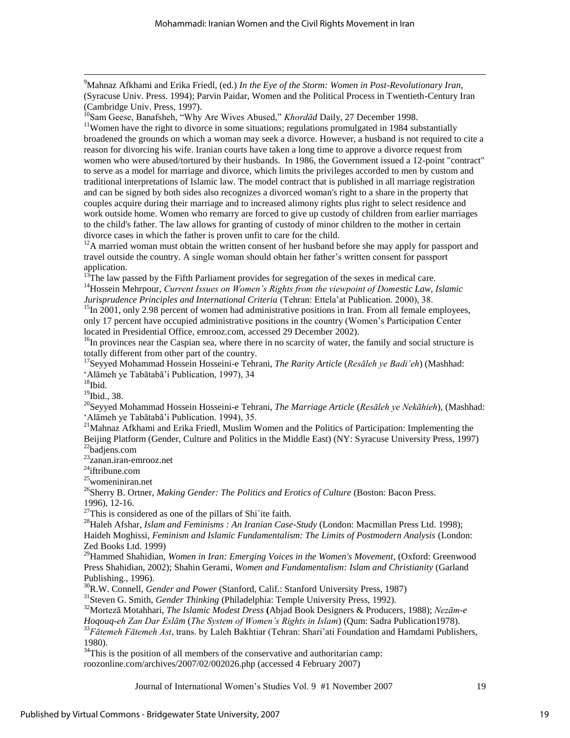<sup>9</sup>Mahnaz Afkhami and Erika Friedl, (ed.) *In the Eye of the Storm: Women in Post-Revolutionary Iran,* (Syracuse Univ. Press. 1994); Parvin Paidar, Women and the Political Process in Twentieth-Century Iran (Cambridge Univ. Press, 1997).

<sup>10</sup>Sam Geese, Banafsheh, "Why Are Wives Abused," *Khordād* Daily, 27 December 1998.

<sup>11</sup>Women have the right to divorce in some situations; regulations promulgated in 1984 substantially broadened the grounds on which a woman may seek a divorce. However, a husband is not required to cite a reason for divorcing his wife. Iranian courts have taken a long time to approve a divorce request from women who were abused/tortured by their husbands. In 1986, the Government issued a 12-point "contract" to serve as a model for marriage and divorce, which limits the privileges accorded to men by custom and traditional interpretations of Islamic law. The model contract that is published in all marriage registration and can be signed by both sides also recognizes a divorced woman's right to a share in the property that couples acquire during their marriage and to increased alimony rights plus right to select residence and work outside home. Women who remarry are forced to give up custody of children from earlier marriages to the child's father. The law allows for granting of custody of minor children to the mother in certain divorce cases in which the father is proven unfit to care for the child.

<sup>12</sup>A married woman must obtain the written consent of her husband before she may apply for passport and travel outside the country. A single woman should obtain her father"s written consent for passport application.

 $13$ The law passed by the Fifth Parliament provides for segregation of the sexes in medical care. <sup>14</sup> Hossein Mehrpour, *Current Issues on Women's Rights from the viewpoint of Domestic Law, Islamic Jurisprudence Principles and International Criteria* (Tehran: Ettela"at Publication. 2000), 38.

<sup>15</sup>In 2001, only 2.98 percent of women had administrative positions in Iran. From all female employees, only 17 percent have occupied administrative positions in the country (Women"s Participation Center located in Presidential Office, emrooz.com, accessed 29 December 2002).

<sup>16</sup>In provinces near the Caspian sea, where there in no scarcity of water, the family and social structure is totally different from other part of the country.

<sup>17</sup>Seyyed Mohammad Hossein Hosseini-e Tehrani, *The Rarity Article* (*Resāleh ye Badi'eh*) (Mashhad: "Alāmeh ye Tabātabā"i Publication, 1997), 34

 $18$ Ibid.

 $\overline{a}$ 

<sup>19</sup>Ibid., 38.

<sup>20</sup>Seyyed Mohammad Hossein Hosseini-e Tehrani, *The Marriage Article* (*Resāleh ye Nekāhieh*), (Mashhad: "Alāmeh ye Tabātabā"i Publication. 1994), 35.

<sup>21</sup>Mahnaz Afkhami and Erika Friedl, Muslim Women and the Politics of Participation: Implementing the Beijing Platform (Gender, Culture and Politics in the Middle East) (NY: Syracuse University Press, 1997) <sup>22</sup>badjens.com

<sup>23</sup>zanan.iran-emrooz.net

 $24$ iftribune.com

<sup>25</sup>womeniniran.net

<sup>26</sup>Sherry B. Ortner, *Making Gender: The Politics and Erotics of Culture* (Boston: Bacon Press. 1996), 12-16.

 $27$ This is considered as one of the pillars of Shi`ite faith.

<sup>28</sup>Haleh Afshar, *Islam and Feminisms : An Iranian Case-Study* (London: Macmillan Press Ltd. 1998); Haideh Moghissi, *Feminism and Islamic Fundamentalism: The Limits of Postmodern Analysis* (London: Zed Books Ltd. 1999)

<sup>29</sup>Hammed Shahidian, *Women in Iran: Emerging Voices in the Women's Movement*, (Oxford: Greenwood Press Shahidian, 2002); Shahin Gerami, *Women and Fundamentalism: Islam and Christianity* (Garland Publishing., 1996).

<sup>30</sup>R.W. Connell, *Gender and Power* (Stanford, Calif.: Stanford University Press, 1987)

<sup>31</sup>Steven G. Smith, *Gender Thinking* (Philadelphia: Temple University Press, 1992).

<sup>32</sup>Mortezā Motahhari, *The Islamic Modest Dress* **(**Abjad Book Designers & Producers, 1988); *Nezām-e* 

*Hoqouq-eh Zan Dar Eslām* (*The System of Women's Rights in Islam*) (Qum: Sadra Publication1978).

<sup>33</sup>Fātemeh Fātemeh Ast, trans. by Laleh Bakhtiar (Tehran: Shari'ati Foundation and Hamdami Publishers, 1980).

 $34$ This is the position of all members of the conservative and authoritarian camp:

roozonline.com/archives/2007/02/002026.php (accessed 4 February 2007)

Journal of International Women"s Studies Vol. 9 #1 November 2007 19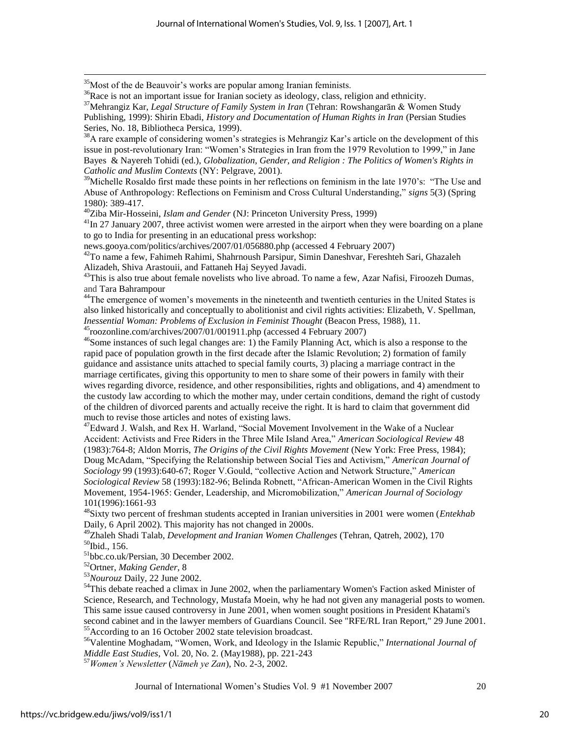<sup>35</sup>Most of the de Beauvoir's works are popular among Iranian feminists.

 $\overline{a}$ 

<sup>36</sup>Race is not an important issue for Iranian society as ideology, class, religion and ethnicity.

<sup>37</sup>Mehrangiz Kar, *Legal Structure of Family System in Iran* (Tehran: Rowshangarān & Women Study

Publishing, 1999): Shirin Ebadi, *History and Documentation of Human Rights in Iran* (Persian Studies Series, No. 18, Bibliotheca Persica, 1999).

 $38$ A rare example of considering women's strategies is Mehrangiz Kar's article on the development of this issue in post-revolutionary Iran: "Women's Strategies in Iran from the 1979 Revolution to 1999," in Jane Bayes & Nayereh Tohidi (ed.), *Globalization, Gender, and Religion : The Politics of Women's Rights in Catholic and Muslim Contexts* (NY: Pelgrave, 2001).

<sup>39</sup>Michelle Rosaldo first made these points in her reflections on feminism in the late 1970's: "The Use and Abuse of Anthropology: Reflections on Feminism and Cross Cultural Understanding," *signs* 5(3) (Spring 1980): 389-417.

<sup>40</sup>Ziba Mir-Hosseini, *Islam and Gender* (NJ: Princeton University Press, 1999)

 $41$ In 27 January 2007, three activist women were arrested in the airport when they were boarding on a plane to go to India for presenting in an educational press workshop:

news.gooya.com/politics/archives/2007/01/056880.php (accessed 4 February 2007)

<sup>42</sup>To name a few, Fahimeh Rahimi, Shahrnoush Parsipur, Simin Daneshvar, Fereshteh Sari, Ghazaleh Alizadeh, Shiva Arastouii, and Fattaneh Haj Seyyed Javadi.

<sup>43</sup>This is also true about female novelists who live abroad. To name a few, Azar Nafisi, Firoozeh Dumas, and Tara Bahrampour

<sup>44</sup>The emergence of women's movements in the nineteenth and twentieth centuries in the United States is also linked historically and conceptually to abolitionist and civil rights activities: Elizabeth, V. Spellman, *Inessential Woman: Problems of Exclusion in Feminist Thought* (Beacon Press, 1988), 11. <sup>45</sup>roozonline.com/archives/2007/01/001911.php (accessed 4 February 2007)

<sup>46</sup>Some instances of such legal changes are: 1) the Family Planning Act, which is also a response to the rapid pace of population growth in the first decade after the Islamic Revolution; 2) formation of family guidance and assistance units attached to special family courts, 3) placing a marriage contract in the marriage certificates, giving this opportunity to men to share some of their powers in family with their wives regarding divorce, residence, and other responsibilities, rights and obligations, and 4) amendment to the custody law according to which the mother may, under certain conditions, demand the right of custody of the children of divorced parents and actually receive the right. It is hard to claim that government did much to revise those articles and notes of existing laws.

<sup>47</sup>Edward J. Walsh, and Rex H. Warland, "Social Movement Involvement in the Wake of a Nuclear Accident: Activists and Free Riders in the Three Mile Island Area," *American Sociological Review* 48 (1983):764-8; Aldon Morris, *The Origins of the Civil Rights Movement* (New York: Free Press, 1984); Doug McAdam, "Specifying the Relationship between Social Ties and Activism," *American Journal of Sociology* 99 (1993):640-67; Roger V.Gould, "collective Action and Network Structure," *American Sociological Review* 58 (1993):182-96; Belinda Robnett, "African-American Women in the Civil Rights Movement, 1954-1965: Gender, Leadership, and Micromobilization," *American Journal of Sociology*  101(1996):1661-93

<sup>48</sup>Sixty two percent of freshman students accepted in Iranian universities in 2001 were women (*Entekhab* Daily, 6 April 2002). This majority has not changed in 2000s.

<sup>49</sup>Zhaleh Shadi Talab, *Development and Iranian Women Challenges* (Tehran, Qatreh, 2002), 170 <sup>50</sup>Ibid., 156.

<sup>51</sup>bbc.co.uk/Persian, 30 December 2002.

<sup>52</sup>Ortner, *Making Gender*, 8

<sup>53</sup>*Nourouz* Daily, 22 June 2002.

<sup>54</sup>This debate reached a climax in June 2002, when the parliamentary Women's Faction asked Minister of Science, Research, and Technology, Mustafa Moein, why he had not given any managerial posts to women. This same issue caused controversy in June 2001, when women sought positions in President Khatami's second cabinet and in the lawyer members of Guardians Council. See "RFE/RL Iran Report," 29 June 2001. <sup>55</sup>According to an 16 October 2002 state television broadcast.

<sup>56</sup>Valentine Moghadam, "Women, Work, and Ideology in the Islamic Republic," *International Journal of Middle East Studies*, Vol. 20, No. 2. (May1988), pp. 221-243

<sup>57</sup>*Women's Newsletter* (*Nāmeh ye Zan*), No. 2-3, 2002.

Journal of International Women"s Studies Vol. 9 #1 November 2007 20